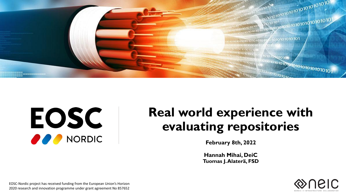

# EOSC **OPP** NORDIC

### **Real world experience with evaluating repositories**

**February 8th, 2022**

**Hannah Mihai, DeiC Tuomas J. Alaterä, FSD**



EOSC-Nordic project has received funding from the European Union's Horizon 2020 research and innovation programme under grant agreement No 857652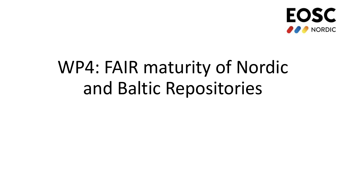

# WP4: FAIR maturity of Nordic and Baltic Repositories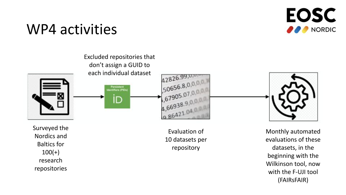

### WP4 activities



Surveyed the Nordics and Baltics for  $100(+)$ research repositories

Evaluation of 10 datasets per repository

Monthly automated evaluations of these datasets, in the beginning with the Wilkinson tool, now with the F-UJI tool (FAIRsFAIR)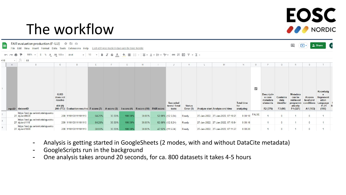### **EOSC NORDIC**

⊟

 $\sqrt{2}$ 

### The workflow

FAIR evaluation production (F-UJI)  $\hat{x}$  E  $\odot$ 

田

File Edit View Insert Format Data Tools Extensions Help Last edit was made 8 days ago by Eosc Nordic

|                |   | 100% - \$ % .0 .00 123 → Arial                      |                                              | $-10$                                      |        |               |         |                                     |                                    |                              |                                    |                                       |                         |                                                                 |                                          |                                                                            |                                                      |                                                                  |   |
|----------------|---|-----------------------------------------------------|----------------------------------------------|--------------------------------------------|--------|---------------|---------|-------------------------------------|------------------------------------|------------------------------|------------------------------------|---------------------------------------|-------------------------|-----------------------------------------------------------------|------------------------------------------|----------------------------------------------------------------------------|------------------------------------------------------|------------------------------------------------------------------|---|
| 410            |   | $\frac{1}{2}$ $\int$ $\frac{1}{2}$ 63               |                                              |                                            |        |               |         |                                     |                                    |                              |                                    |                                       |                         |                                                                 |                                          |                                                                            |                                                      |                                                                  |   |
|                | A |                                                     | C                                            | Ð                                          |        |               | G       |                                     |                                    |                              | M                                  | N                                     |                         |                                                                 |                                          |                                                                            |                                                      |                                                                  |   |
|                |   | repoID datasetID                                    | <b>GUID</b><br>does not<br>resolve<br>404(0) | 200 (773) Evaluation result s' F-score (7) |        | $A-score (3)$ |         | I-score (4) R-score (10) FAIR score | Succeded<br>tests / Total<br>tests | <b>Status</b><br>Error $(5)$ | Analyze start Analyze end time     | <b>Total time</b><br>for<br>analyzing | $\overline{\mathbf{z}}$ | <b>Descriptiv</b><br>e core<br>metadata<br>elements<br>F2 (376) | Contains<br>data<br>identifer<br>F3 (98) | <b>Metadata</b><br>can be<br>retrieved<br>programm<br>atically<br>F4 (321) | <b>Access</b><br>level and<br>conditions<br>A1 (103) | Knowledg<br>Represent<br>ation<br>Language<br>$11 - 01$<br>(196) | R |
| $\overline{2}$ |   | https://snd.gu.se/en/catalogue/stu<br>27 dy/snd0020 |                                              | 200 1110100111101110                       | 64.29% | 33.33%        | 100.00% | 30.00%                              | 52.08% (12.5:24)                   | Ready                        | 27-Jan-2022, 27-Jan-2022, 07:10:25 | $0:00:18$ FALSE                       |                         |                                                                 |                                          |                                                                            |                                                      |                                                                  |   |
|                |   | https://snd.gu.se/en/catalogue/stu<br>27 dv/snd1115 |                                              | 200 1110100111101110                       | 64.29% | 33.33%        | 100.00% | 30.00%                              | 52.08% (12.5:24)                   | Ready                        | 27-Jan-2022, 27-Jan-2022, 07:10:54 | 0:00:16                               |                         |                                                                 |                                          |                                                                            |                                                      |                                                                  |   |
| 4              |   | https://snd.gu.se/en/catalogue/stu<br>27 dy/snd1080 |                                              | 200 1110100111101110                       | 50.00% | 33.33%        | 100.00% | 30.00%                              | 47.92% (11.5:24)                   | Ready                        | 27-Jan-2022, 27-Jan-2022, 07:11:27 | 0:00:20                               |                         |                                                                 |                                          |                                                                            |                                                      |                                                                  |   |

- Analysis is getting started in GoogleSheets (2 modes, with and without DataCite metadata)
- GoogleScripts run in the background
- One analysis takes around 20 seconds, for ca. 800 datasets it takes 4-5 hours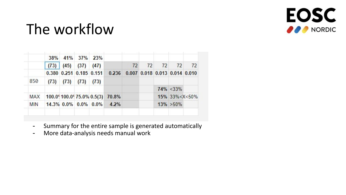

## The workflow

|     |      | 38% 41% 37% 23% |               |                      |                                                             |    |    |    |                        |    |  |
|-----|------|-----------------|---------------|----------------------|-------------------------------------------------------------|----|----|----|------------------------|----|--|
|     | (73) |                 | $(45)$ $(37)$ | (47)                 |                                                             | 72 | 72 | 72 | 72                     | 72 |  |
|     |      |                 |               |                      | 0.380 0.251 0.185 0.151 0.236 0.007 0.018 0.013 0.014 0.010 |    |    |    |                        |    |  |
| 850 | (73) | $(73)$ $(73)$   |               | (73)                 |                                                             |    |    |    |                        |    |  |
|     |      |                 |               |                      |                                                             |    |    |    | $74\% < 33\%$          |    |  |
| MAX |      |                 |               |                      | 100.09100.0975.0% 0.5(3) 70.8%                              |    |    |    | $15\%$ 33% < $X$ < 50% |    |  |
| MIN |      |                 |               | 14.3% 0.0% 0.0% 0.0% | 4.2%                                                        |    |    |    | $13\% > 50\%$          |    |  |

- Summary for the entire sample is generated automatically
- More data-analysis needs manual work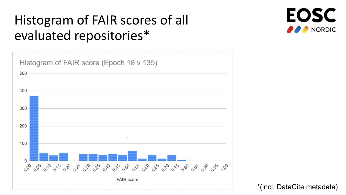### Histogram of FAIR scores of all evaluated repositories\*



**EOSC NORDIC** 

\*(incl. DataCite metadata)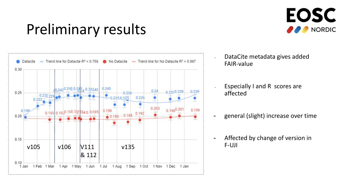

## Preliminary results



- DataCite metadata gives added FAIR-value
- Especially I and R scores are affected
- general (slight) increase over time
- Affected by change of version in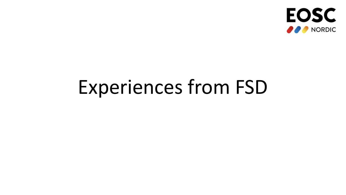

# Experiences from FSD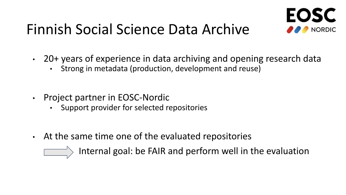# Finnish Social Science Data Archive



- 20+ years of experience in data archiving and opening research data
	- Strong in metadata (production, development and reuse)
- Project partner in EOSC-Nordic
	- Support provider for selected repositories
- At the same time one of the evaluated repositories

Internal goal: be FAIR and perform well in the evaluation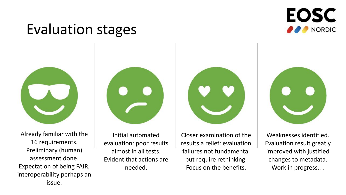### **EOSC NORDIC**

### Evaluation stages



Already familiar with the 16 requirements. Preliminary (human) assessment done. Expectation of being FAIR, interoperability perhaps an issue.



Initial automated evaluation: poor results almost in all tests. Evident that actions are needed.

Closer examination of the results a relief: evaluation failures not fundamental but require rethinking. Focus on the benefits.



Weaknesses identified. Evaluation result greatly improved with justified changes to metadata. Work in progress…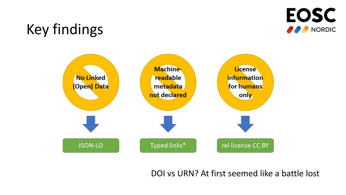

# Key findings



DOI vs URN? At first seemed like a battle lost